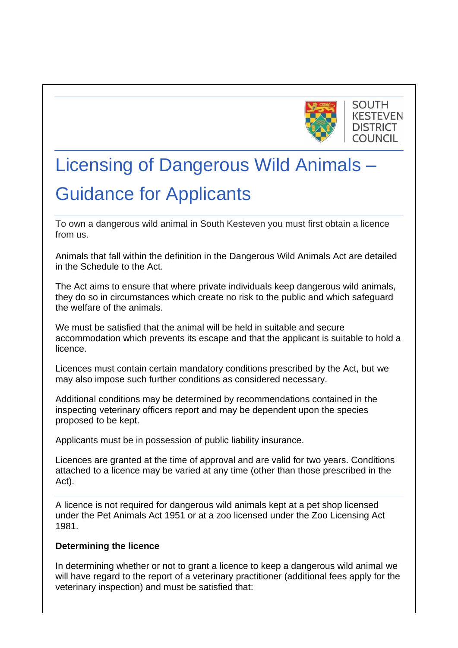

# **SOUTH KESTEVEN DISTRICT COUNCIL**

# Licensing of Dangerous Wild Animals – Guidance for Applicants

To own a dangerous wild animal in South Kesteven you must first obtain a licence from us.

Animals that fall within the definition in the Dangerous Wild Animals Act are detailed in the Schedule to the Act.

The Act aims to ensure that where private individuals keep dangerous wild animals, they do so in circumstances which create no risk to the public and which safeguard the welfare of the animals.

We must be satisfied that the animal will be held in suitable and secure accommodation which prevents its escape and that the applicant is suitable to hold a licence.

Licences must contain certain mandatory conditions prescribed by the Act, but we may also impose such further conditions as considered necessary.

Additional conditions may be determined by recommendations contained in the inspecting veterinary officers report and may be dependent upon the species proposed to be kept.

Applicants must be in possession of public liability insurance.

Licences are granted at the time of approval and are valid for two years. Conditions attached to a licence may be varied at any time (other than those prescribed in the Act).

A licence is not required for dangerous wild animals kept at a pet shop licensed under the Pet Animals Act 1951 or at a zoo licensed under the Zoo Licensing Act 1981.

# **Determining the licence**

In determining whether or not to grant a licence to keep a dangerous wild animal we will have regard to the report of a veterinary practitioner (additional fees apply for the veterinary inspection) and must be satisfied that: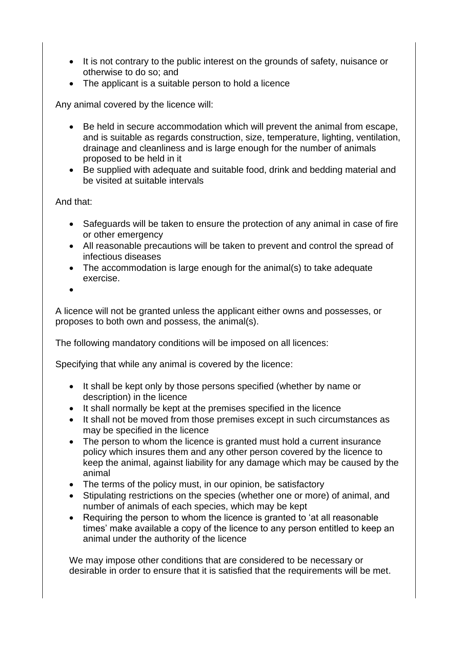- It is not contrary to the public interest on the grounds of safety, nuisance or otherwise to do so; and
- The applicant is a suitable person to hold a licence

Any animal covered by the licence will:

- Be held in secure accommodation which will prevent the animal from escape, and is suitable as regards construction, size, temperature, lighting, ventilation, drainage and cleanliness and is large enough for the number of animals proposed to be held in it
- Be supplied with adequate and suitable food, drink and bedding material and be visited at suitable intervals

And that:

- Safeguards will be taken to ensure the protection of any animal in case of fire or other emergency
- All reasonable precautions will be taken to prevent and control the spread of infectious diseases
- The accommodation is large enough for the animal(s) to take adequate exercise.

•

A licence will not be granted unless the applicant either owns and possesses, or proposes to both own and possess, the animal(s).

The following mandatory conditions will be imposed on all licences:

Specifying that while any animal is covered by the licence:

- It shall be kept only by those persons specified (whether by name or description) in the licence
- It shall normally be kept at the premises specified in the licence
- It shall not be moved from those premises except in such circumstances as may be specified in the licence
- The person to whom the licence is granted must hold a current insurance policy which insures them and any other person covered by the licence to keep the animal, against liability for any damage which may be caused by the animal
- The terms of the policy must, in our opinion, be satisfactory
- Stipulating restrictions on the species (whether one or more) of animal, and number of animals of each species, which may be kept
- Requiring the person to whom the licence is granted to 'at all reasonable times' make available a copy of the licence to any person entitled to keep an animal under the authority of the licence

We may impose other conditions that are considered to be necessary or desirable in order to ensure that it is satisfied that the requirements will be met.